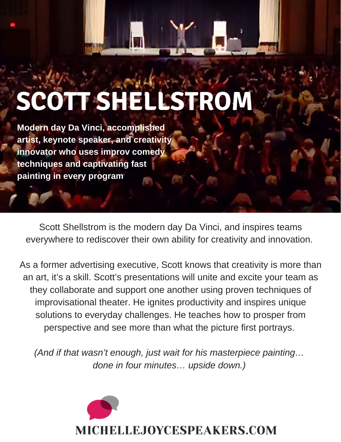# **SCOTT SHELLSTROM**

**Modern day Da Vinci, accomplished artist, keynote speaker, and creativity innovator who uses improv comedy techniques and captivating fast painting in every program**

Scott Shellstrom is the modern day Da Vinci, and inspires teams everywhere to rediscover their own ability for creativity and innovation.

As a former advertising executive, Scott knows that creativity is more than an art, it's a skill. Scott's presentations will unite and excite your team as they collaborate and support one another using proven techniques of improvisational theater. He ignites productivity and inspires unique solutions to everyday challenges. He teaches how to prosper from perspective and see more than what the picture first portrays.

*(And if that wasn't enough, just wait for his masterpiece painting… done in four minutes… upside down.)*

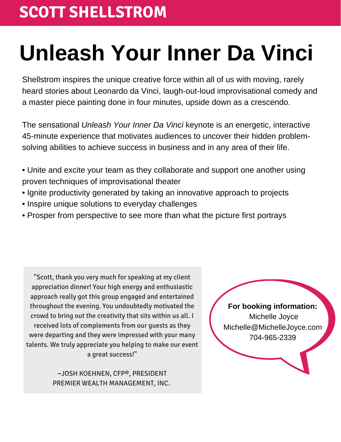### **SCOTT SHELLSTROM**

## **Unleash Your Inner Da Vinci**

Shellstrom inspires the unique creative force within all of us with moving, rarely heard stories about Leonardo da Vinci, laugh-out-loud improvisational comedy and a master piece painting done in four minutes, upside down as a crescendo.

The sensational *Unleash Your Inner Da Vinci* keynote is an energetic, interactive 45-minute experience that motivates audiences to uncover their hidden problemsolving abilities to achieve success in business and in any area of their life.

- Unite and excite your team as they collaborate and support one another using proven techniques of improvisational theater
- Ignite productivity generated by taking an innovative approach to projects
- Inspire unique solutions to everyday challenges
- Prosper from perspective to see more than what the picture first portrays

"Scott, thank you very much for speaking at my client appreciation dinner! Your high energy and enthusiastic approach really got this group engaged and entertained throughout the evening. You undoubtedly motivated the crowd to bring out the creativity that sits within us all. I received lots of complements from our guests as they were departing and they were impressed with your many talents. We truly appreciate you helping to make our event a great success!"

> ~JOSH KOEHNEN, CFP®, PRESIDENT PREMIER WEALTH MANAGEMENT, INC.

**For booking information:** Michelle Joyce Michelle@MichelleJoyce.com 704-965-2339